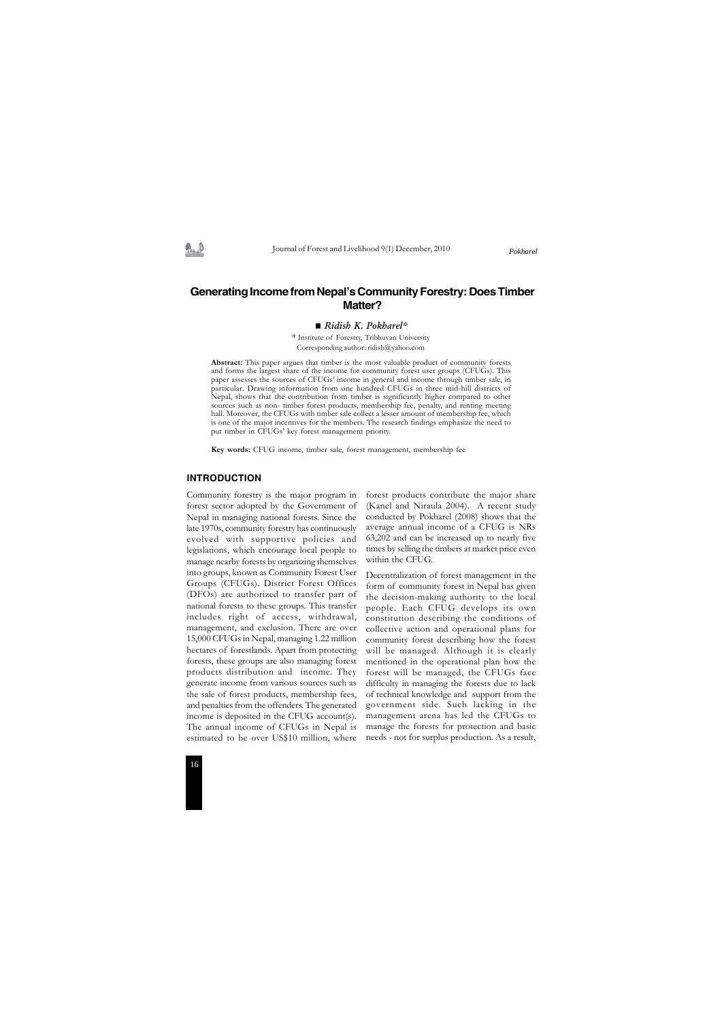Journal of Forest and Livelihood 9(1) December, 2010



# **Generating Income from Nepal's Community Forestry: Does Timber Matter?**

#### *Ridish K. Pokharel\**

#### **INTRODUCTION**

Community forestry is the major program in forest sector adopted by the Government of Nepal in managing national forests. Since the late 1970s, community forestry has continuously evolved with supportive policies and legislations, which encourage local people to manage nearby forests by organizing themselves into groups, known as Community Forest User Groups (CFUGs). District Forest Offices (DFOs) are authorized to transfer part of national forests to these groups. This transfer includes right of access, withdrawal, management, and exclusion. There are over 15,000 CFUGs in Nepal, managing 1.22 million hectares of forestlands. Apart from protecting forests, these groups are also managing forest products distribution and income. They generate income from various sources such as the sale of forest products, membership fees, and penalties from the offenders. The generated income is deposited in the CFUG account(s). The annual income of CFUGs in Nepal is estimated to be over US\$10 million, where

forest products contribute the major share (Kanel and Niraula 2004). A recent study conducted by Pokharel (2008) shows that the average annual income of a CFUG is NRs 63,202 and can be increased up to nearly five times by selling the timbers at market price even within the CFUG.

Decentralization of forest management in the form of community forest in Nepal has given the decision-making authority to the local people. Each CFUG develops its own constitution describing the conditions of collective action and operational plans for community forest describing how the forest will be managed. Although it is clearly mentioned in the operational plan how the forest will be managed, the CFUGs face difficulty in managing the forests due to lack of technical knowledge and support from the government side. Such lacking in the management arena has led the CFUGs to manage the forests for protection and basic needs - not for surplus production. As a result,

*Pokharel*

*\** Institute of Forestry, Tribhuvan University Corresponding author: ridish@yahoo.com

**Abstract:** This paper argues that timber is the most valuable product of community forests and forms the largest share of the income for community forest user groups (CFUGs). This paper assesses the sources of CFUGs' income in general and income through timber sale, in particular. Drawing information from one hundred CFUGs in three mid-hill districts of Nepal, shows that the contribution from timber is significantly higher compared to other sources such as non- timber forest products, membership fee, penalty, and renting meeting hall. Moreover, the CFUGs with timber sale collect a lesser amount of membership fee, which is one of the major incentives for the members. The research findings emphasize the need to put timber in CFUGs' key forest management priority.

**Key words:** CFUG income, timber sale, forest management, membership fee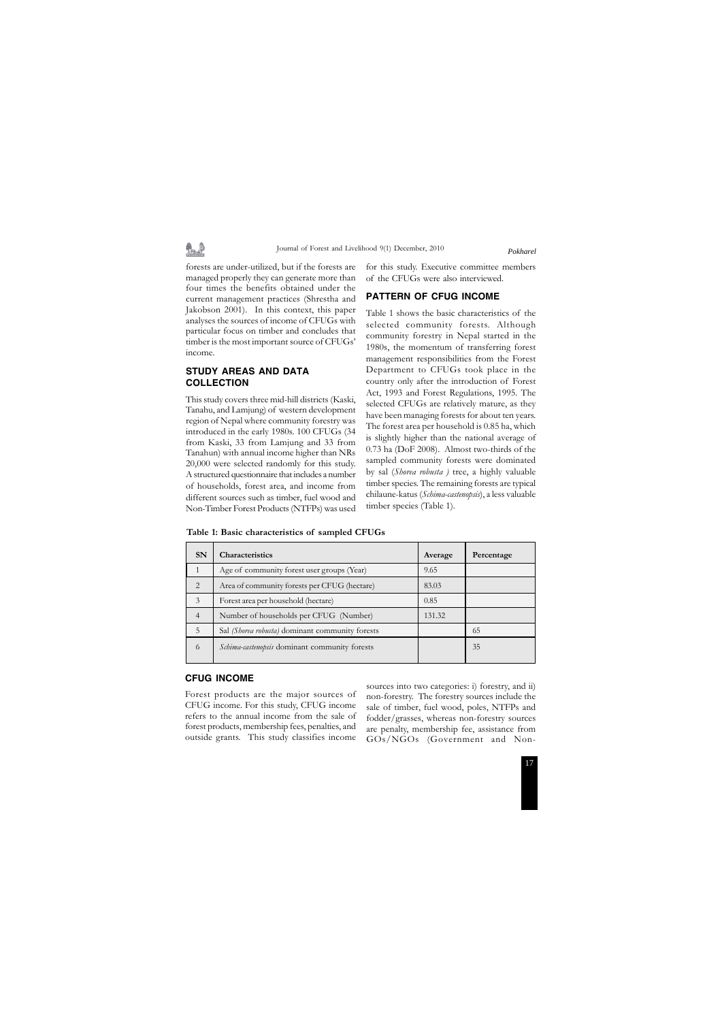#### Journal of Forest and Livelihood 9(1) December, 2010

forests are under-utilized, but if the forests are managed properly they can generate more than four times the benefits obtained under the current management practices (Shrestha and Jakobson 2001). In this context, this paper analyses the sources of income of CFUGs with particular focus on timber and concludes that timber is the most important source of CFUGs' income.

# **STUDY AREAS AND DATA COLLECTION**

This study covers three mid-hill districts (Kaski, Tanahu, and Lamjung) of western development region of Nepal where community forestry was introduced in the early 1980s. 100 CFUGs (34 from Kaski, 33 from Lamjung and 33 from Tanahun) with annual income higher than NRs 20,000 were selected randomly for this study. A structured questionnaire that includes a number of households, forest area, and income from different sources such as timber, fuel wood and Non-Timber Forest Products (NTFPs) was used

for this study. Executive committee members of the CFUGs were also interviewed.

## **PATTERN OF CFUG INCOME**

Table 1 shows the basic characteristics of the selected community forests. Although community forestry in Nepal started in the 1980s, the momentum of transferring forest management responsibilities from the Forest Department to CFUGs took place in the country only after the introduction of Forest Act, 1993 and Forest Regulations, 1995. The selected CFUGs are relatively mature, as they have been managing forests for about ten years. The forest area per household is 0.85 ha, which is slightly higher than the national average of 0.73 ha (DoF 2008). Almost two-thirds of the sampled community forests were dominated by sal (*Shorea robusta )* tree, a highly valuable timber species. The remaining forests are typical chilaune-katus (*Schima-castenopsis*), a less valuable timber species (Table 1).

*Pokharel*

|  |  | Table 1: Basic characteristics of sampled CFUGs |  |  |  |
|--|--|-------------------------------------------------|--|--|--|
|--|--|-------------------------------------------------|--|--|--|

| <b>SN</b>      | <b>Characteristics</b>                          | Average | Percentage |
|----------------|-------------------------------------------------|---------|------------|
|                | Age of community forest user groups (Year)      | 9.65    |            |
| 2              | Area of community forests per CFUG (hectare)    | 83.03   |            |
| 3              | Forest area per household (hectare)             | 0.85    |            |
| $\overline{4}$ | Number of households per CFUG (Number)          | 131.32  |            |
| 5              | Sal (Shorea robusta) dominant community forests |         | 65         |
| 6              | Schima-castenopsis dominant community forests   |         | 35         |

### **CFUG INCOME**

Forest products are the major sources of CFUG income. For this study, CFUG income refers to the annual income from the sale of forest products, membership fees, penalties, and outside grants. This study classifies income

sources into two categories: i) forestry, and ii) non-forestry. The forestry sources include the sale of timber, fuel wood, poles, NTFPs and fodder/grasses, whereas non-forestry sources are penalty, membership fee, assistance from GOs/NGOs (Government and Non-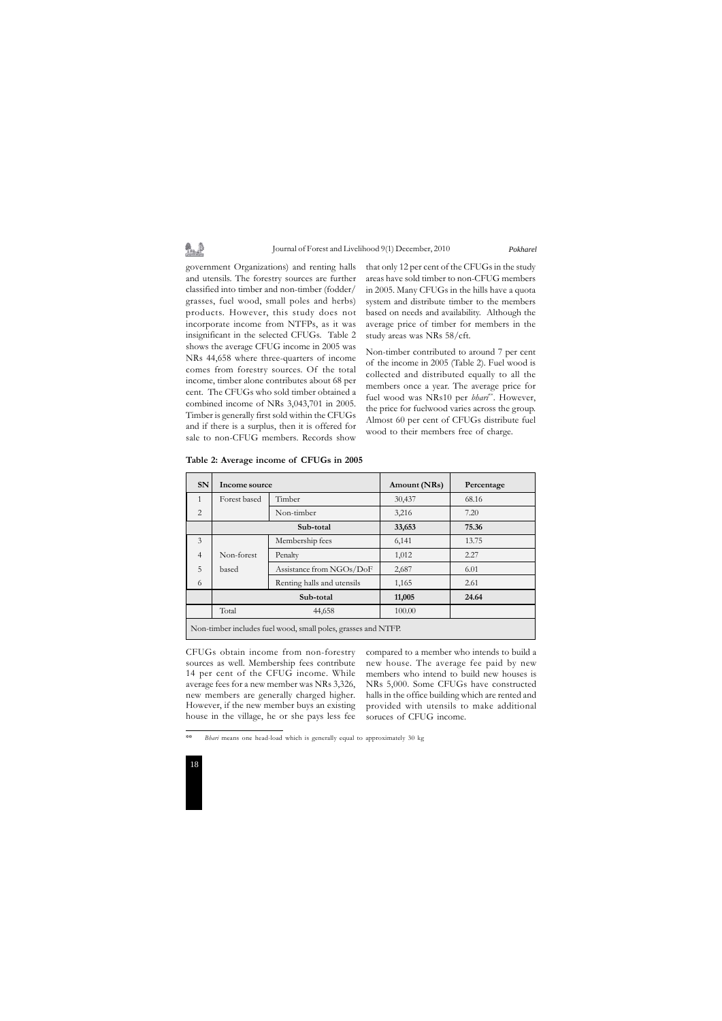# \$…⊉

#### Journal of Forest and Livelihood 9(1) December, 2010



that only 12 per cent of the CFUGs in the study areas have sold timber to non-CFUG members in 2005. Many CFUGs in the hills have a quota system and distribute timber to the members based on needs and availability. Although the average price of timber for members in the study areas was NRs 58/cft.

Non-timber contributed to around 7 per cent of the income in 2005 (Table 2). Fuel wood is collected and distributed equally to all the members once a year. The average price for fuel wood was NRs10 per *bhari*<sup>\*\*</sup>. However, the price for fuelwood varies across the group. Almost 60 per cent of CFUGs distribute fuel wood to their members free of charge.

government Organizations) and renting halls and utensils. The forestry sources are further classified into timber and non-timber (fodder/ grasses, fuel wood, small poles and herbs) products. However, this study does not incorporate income from NTFPs, as it was insignificant in the selected CFUGs. Table 2 shows the average CFUG income in 2005 was NRs 44,658 where three-quarters of income comes from forestry sources. Of the total income, timber alone contributes about 68 per cent. The CFUGs who sold timber obtained a combined income of NRs 3,043,701 in 2005. Timber is generally first sold within the CFUGs and if there is a surplus, then it is offered for sale to non-CFUG members. Records show

*Pokharel*

| <b>SN</b>                                                     | Income source |                            | Amount (NRs) | Percentage |  |  |
|---------------------------------------------------------------|---------------|----------------------------|--------------|------------|--|--|
| $\mathbf{1}$                                                  | Forest based  | Timber                     | 30,437       | 68.16      |  |  |
| 2                                                             |               | Non-timber                 | 3,216        | 7.20       |  |  |
|                                                               | Sub-total     |                            | 33,653       | 75.36      |  |  |
| 3                                                             |               | Membership fees            | 6,141        | 13.75      |  |  |
| $\overline{4}$                                                | Non-forest    | Penalty                    | 1,012        | 2.27       |  |  |
| 5                                                             | based         | Assistance from NGOs/DoF   | 2,687        | 6.01       |  |  |
| 6                                                             |               | Renting halls and utensils | 1,165        | 2.61       |  |  |
|                                                               | Sub-total     |                            | 11,005       | 24.64      |  |  |
|                                                               | Total         | 44,658                     | 100.00       |            |  |  |
| Non-timber includes fuel wood, small poles, grasses and NTFP. |               |                            |              |            |  |  |

**Table 2: Average income of CFUGs in 2005**

CFUGs obtain income from non-forestry sources as well. Membership fees contribute 14 per cent of the CFUG income. While average fees for a new member was NRs 3,326, new members are generally charged higher. However, if the new member buys an existing house in the village, he or she pays less fee

compared to a member who intends to build a new house. The average fee paid by new members who intend to build new houses is NRs 5,000. Some CFUGs have constructed halls in the office building which are rented and provided with utensils to make additional soruces of CFUG income.

*<sup>\*\*</sup> Bhari* means one head-load which is generally equal to approximately 30 kg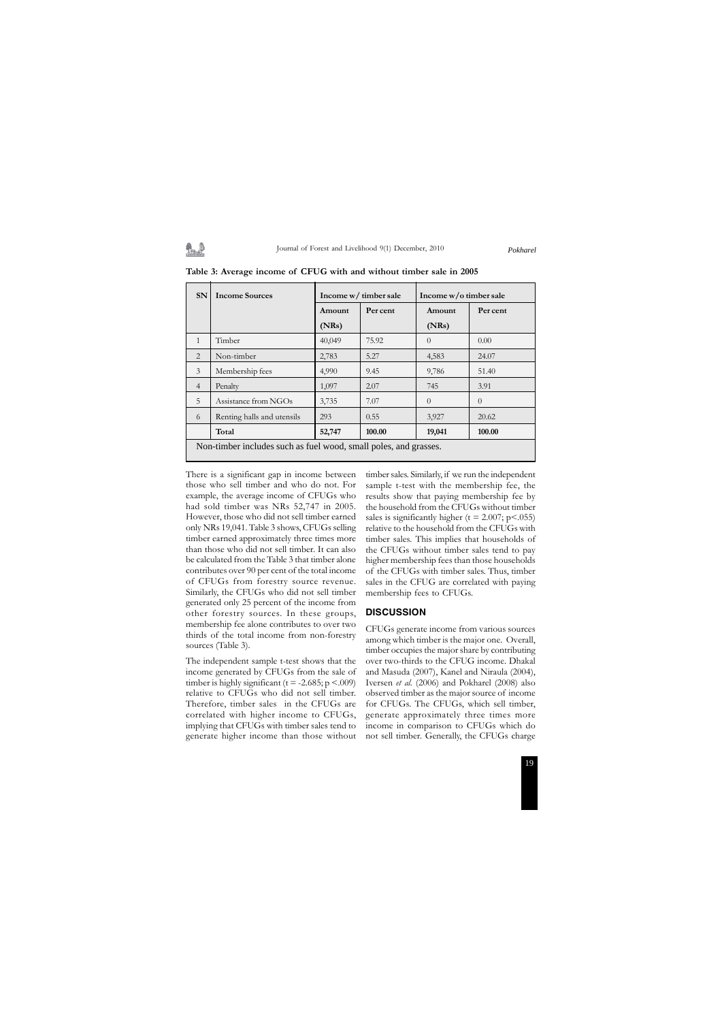#### Journal of Forest and Livelihood 9(1) December, 2010

There is a significant gap in income between those who sell timber and who do not. For example, the average income of CFUGs who had sold timber was NRs 52,747 in 2005. However, those who did not sell timber earned only NRs 19,041. Table 3 shows, CFUGs selling timber earned approximately three times more than those who did not sell timber. It can also be calculated from the Table 3 that timber alone contributes over 90 per cent of the total income of CFUGs from forestry source revenue. Similarly, the CFUGs who did not sell timber generated only 25 percent of the income from other forestry sources. In these groups, membership fee alone contributes to over two thirds of the total income from non-forestry sources (Table 3).

The independent sample t-test shows that the income generated by CFUGs from the sale of timber is highly significant ( $t = -2.685$ ; p <.009) relative to CFUGs who did not sell timber. Therefore, timber sales in the CFUGs are correlated with higher income to CFUGs, implying that CFUGs with timber sales tend to generate higher income than those without

**SN** Income Sources Income w/ timber sale Income w/o timber sale **Amount Per cent Amount Per cent (NRs) (NRs)** 1 Timber 10.00 40,049 75.92 0 0.00 2 Non-timber 2,783 5.27 4,583 24.07 3 Membership fees 4,990 9.45 9,786 51.40 4 Penalty 1,097 2.07 745 3.91 5 Assistance from NGOs 3,735 7.07 0 0 6 Renting halls and utensils 293 0.55 3,927 20.62 **Total 52,747 100.00 19,041 100.00** Non-timber includes such as fuel wood, small poles, and grasses.

> timber sales. Similarly, if we run the independent sample t-test with the membership fee, the results show that paying membership fee by the household from the CFUGs without timber sales is significantly higher ( $t = 2.007$ ;  $p < .055$ ) relative to the household from the CFUGs with timber sales. This implies that households of the CFUGs without timber sales tend to pay higher membership fees than those households of the CFUGs with timber sales. Thus, timber sales in the CFUG are correlated with paying membership fees to CFUGs.

# **DISCUSSION**

CFUGs generate income from various sources among which timber is the major one. Overall, timber occupies the major share by contributing over two-thirds to the CFUG income. Dhakal and Masuda (2007), Kanel and Niraula (2004), Iversen *et al.* (2006) and Pokharel (2008) also observed timber as the major source of income for CFUGs. The CFUGs, which sell timber, generate approximately three times more income in comparison to CFUGs which do not sell timber. Generally, the CFUGs charge

*Pokharel*

**Table 3: Average income of CFUG with and without timber sale in 2005**